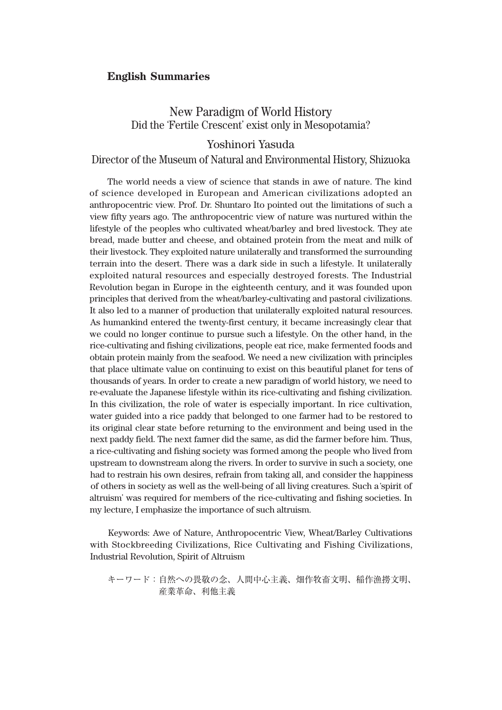# **English Summaries**

### New Paradigm of World History Did the ʻFertile Crescent' exist only in Mesopotamia?

#### Yoshinori Yasuda

#### Director of the Museum of Natural and Environmental History, Shizuoka

The world needs a view of science that stands in awe of nature. The kind of science developed in European and American civilizations adopted an anthropocentric view. Prof. Dr. Shuntaro Ito pointed out the limitations of such a view fifty years ago. The anthropocentric view of nature was nurtured within the lifestyle of the peoples who cultivated wheat/barley and bred livestock. They ate bread, made butter and cheese, and obtained protein from the meat and milk of their livestock. They exploited nature unilaterally and transformed the surrounding terrain into the desert. There was a dark side in such a lifestyle. It unilaterally exploited natural resources and especially destroyed forests. The Industrial Revolution began in Europe in the eighteenth century, and it was founded upon principles that derived from the wheat/barley-cultivating and pastoral civilizations. It also led to a manner of production that unilaterally exploited natural resources. As humankind entered the twenty-first century, it became increasingly clear that we could no longer continue to pursue such a lifestyle. On the other hand, in the rice-cultivating and fishing civilizations, people eat rice, make fermented foods and obtain protein mainly from the seafood. We need a new civilization with principles that place ultimate value on continuing to exist on this beautiful planet for tens of thousands of years. In order to create a new paradigm of world history, we need to re-evaluate the Japanese lifestyle within its rice-cultivating and fishing civilization. In this civilization, the role of water is especially important. In rice cultivation, water guided into a rice paddy that belonged to one farmer had to be restored to its original clear state before returning to the environment and being used in the next paddy field. The next farmer did the same, as did the farmer before him. Thus, a rice-cultivating and fishing society was formed among the people who lived from upstream to downstream along the rivers. In order to survive in such a society, one had to restrain his own desires, refrain from taking all, and consider the happiness of others in society as well as the well-being of all living creatures. Such a ʻspirit of altruism' was required for members of the rice-cultivating and fishing societies. In my lecture, I emphasize the importance of such altruism.

Keywords: Awe of Nature, Anthropocentric View, Wheat/Barley Cultivations with Stockbreeding Civilizations, Rice Cultivating and Fishing Civilizations, Industrial Revolution, Spirit of Altruism

キーワード:自然への畏敬の念、人間中心主義、畑作牧畜文明、稲作漁撈文明、 産業革命、利他主義